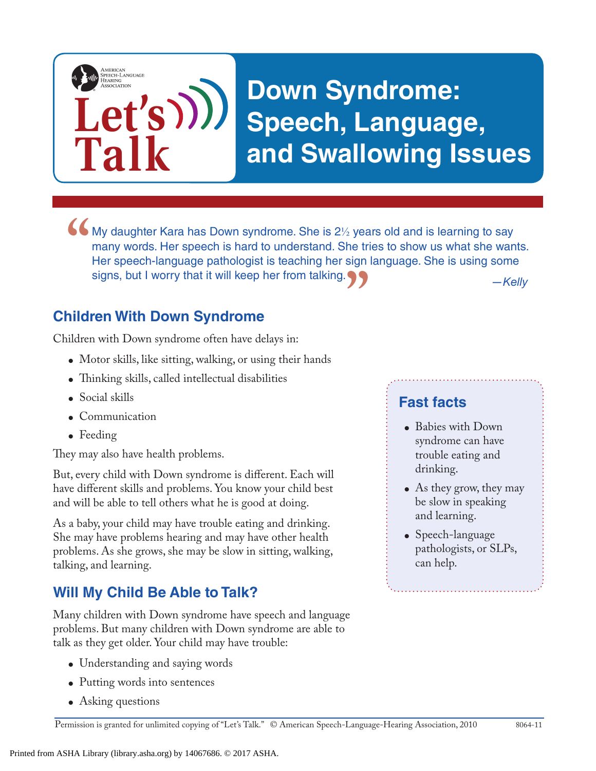

*—Kelly* • My daughter Kara has Down syndrome. She is  $2\frac{1}{2}$  years old and is learning to say many words. Her speech is hard to understand. She tries to show us what she wan Her speech-language pathologist is teaching her sign many words. Her speech is hard to understand. She tries to show us what she wants. Her speech-language pathologist is teaching her sign language. She is using some signs, but I worry that it will keep her from talking. **"**

#### **Children With Down Syndrome**

Children with Down syndrome often have delays in:

- Motor skills, like sitting, walking, or using their hands
- Thinking skills, called intellectual disabilities
- Social skills
- Communication
- Feeding

They may also have health problems.

But, every child with Down syndrome is different. Each will have different skills and problems. You know your child best and will be able to tell others what he is good at doing.

As a baby, your child may have trouble eating and drinking. She may have problems hearing and may have other health problems. As she grows, she may be slow in sitting, walking, talking, and learning.

### **Will My Child Be Able to Talk?**

Many children with Down syndrome have speech and language problems. But many children with Down syndrome are able to talk as they get older. Your child may have trouble:

- Understanding and saying words
- Putting words into sentences
- Asking questions

#### **Fast facts**

- Babies with Down syndrome can have trouble eating and drinking.
- As they grow, they may be slow in speaking and learning.
- Speech-language pathologists, or SLPs, can help.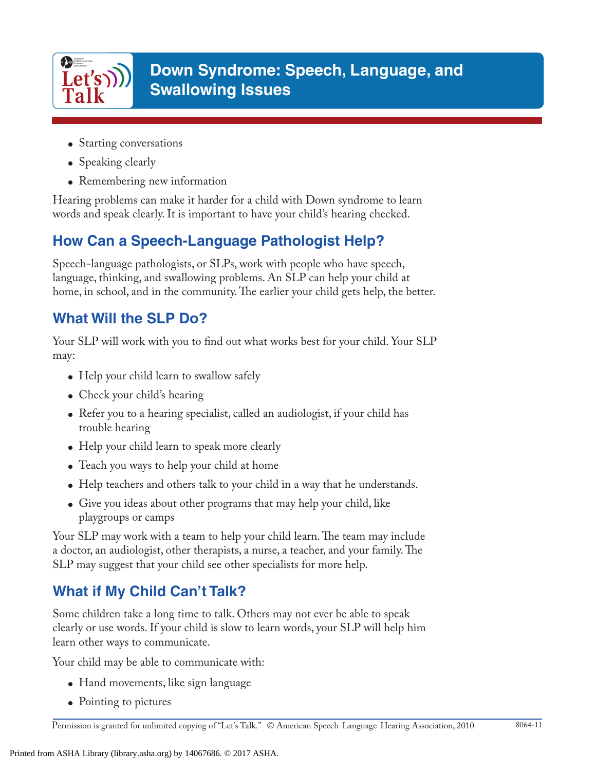

- Starting conversations
- Speaking clearly
- Remembering new information

Hearing problems can make it harder for a child with Down syndrome to learn words and speak clearly. It is important to have your child's hearing checked.

# **How Can a Speech-Language Pathologist Help?**

Speech-language pathologists, or SLPs, work with people who have speech, language, thinking, and swallowing problems. An SLP can help your child at home, in school, and in the community. The earlier your child gets help, the better.

## **What Will the SLP Do?**

Your SLP will work with you to find out what works best for your child. Your SLP may:

- Help your child learn to swallow safely
- Check your child's hearing
- Refer you to a hearing specialist, called an audiologist, if your child has trouble hearing
- Help your child learn to speak more clearly
- Teach you ways to help your child at home
- Help teachers and others talk to your child in a way that he understands.
- Give you ideas about other programs that may help your child, like playgroups or camps

Your SLP may work with a team to help your child learn. The team may include a doctor, an audiologist, other therapists, a nurse, a teacher, and your family. The SLP may suggest that your child see other specialists for more help.

# **What if My Child Can't Talk?**

Some children take a long time to talk. Others may not ever be able to speak clearly or use words. If your child is slow to learn words, your SLP will help him learn other ways to communicate.

Your child may be able to communicate with:

- Hand movements, like sign language
- Pointing to pictures

Permission is granted for unlimited copying of "Let's Talk." © American Speech-Language-Hearing Association, 2010 8064-11